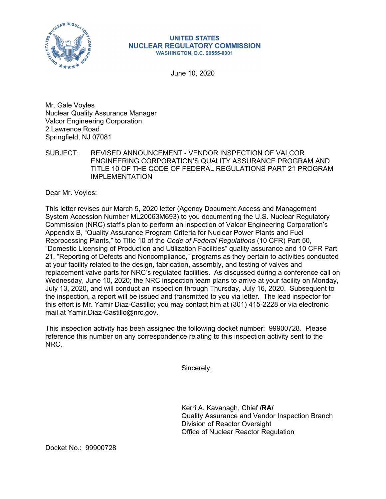

## **UNITED STATES NUCLEAR REGULATORY COMMISSION WASHINGTON, D.C. 20555-0001**

June 10, 2020

Mr. Gale Voyles Nuclear Quality Assurance Manager Valcor Engineering Corporation 2 Lawrence Road Springfield, NJ 07081

SUBJECT: REVISED ANNOUNCEMENT - VENDOR INSPECTION OF VALCOR ENGINEERING CORPORATION'S QUALITY ASSURANCE PROGRAM AND TITLE 10 OF THE CODE OF FEDERAL REGULATIONS PART 21 PROGRAM IMPI FMFNTATION

Dear Mr. Voyles:

This letter revises our March 5, 2020 letter (Agency Document Access and Management System Accession Number ML20063M693) to you documenting the U.S. Nuclear Regulatory Commission (NRC) staff's plan to perform an inspection of Valcor Engineering Corporation's Appendix B, "Quality Assurance Program Criteria for Nuclear Power Plants and Fuel Reprocessing Plants," to Title 10 of the *Code of Federal Regulations* (10 CFR) Part 50, "Domestic Licensing of Production and Utilization Facilities" quality assurance and 10 CFR Part 21, "Reporting of Defects and Noncompliance," programs as they pertain to activities conducted at your facility related to the design, fabrication, assembly, and testing of valves and replacement valve parts for NRC's regulated facilities. As discussed during a conference call on Wednesday, June 10, 2020; the NRC inspection team plans to arrive at your facility on Monday, July 13, 2020, and will conduct an inspection through Thursday, July 16, 2020. Subsequent to the inspection, a report will be issued and transmitted to you via letter. The lead inspector for this effort is Mr. Yamir Diaz-Castillo; you may contact him at (301) 415-2228 or via electronic mail at Yamir.Diaz-Castillo@nrc.gov.

This inspection activity has been assigned the following docket number: 99900728. Please reference this number on any correspondence relating to this inspection activity sent to the NRC.

Sincerely,

Kerri A. Kavanagh, Chief **/RA/**  Quality Assurance and Vendor Inspection Branch Division of Reactor Oversight Office of Nuclear Reactor Regulation

Docket No.: 99900728